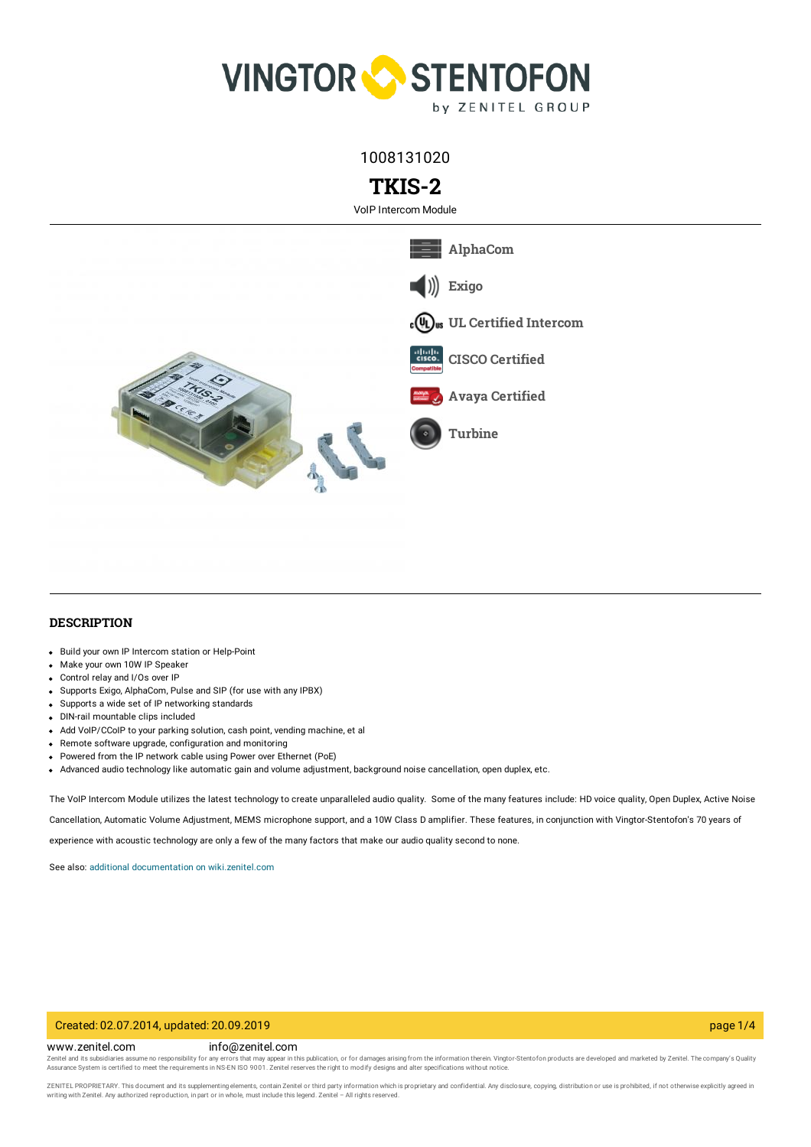

1008131020

# **TKIS-2**

VoIP Intercom Module



## **DESCRIPTION**

- Build your own IP Intercom station or Help-Point
- Make your own 10W IP Speaker
- Control relay and I/Os over IP
- Supports Exigo, AlphaCom, Pulse and SIP (for use with any IPBX)
- Supports a wide set of IP networking standards
- DIN-rail mountable clips included
- Add VoIP/CCoIP to your parking solution, cash point, vending machine, et all
- Remote software upgrade, configuration and monitoring
- Powered from the IP network cable using Power over Ethernet (PoE)
- Advanced audio technology like automatic gain and volume adjustment, background noise cancellation, open duplex, etc.

The VoIP Intercom Module utilizes the latest technology to create unparalleled audio quality. Some of the many features include: HD voice quality, Open Duplex, Active Noise Cancellation, Automatic Volume Adjustment, MEMS microphone support, and a 10W Class D amplifier. These features, in conjunction with Vingtor-Stentofon's 70 years of experience with acoustic technology are only a few of the many factors that make our audio quality second to none.

See also: additional documentation on [wiki.zenitel.com](https://wiki.zenitel.com/wiki/TKIS-2)

## Created: 02.07.2014, updated: 20.09.2019 page 1/4

#### www.zenitel.com info@zenitel.com

Zenitel and its subsidiaries assume no responsibility for any errors that may appear in this publication, or for damages arising from the information therein. Vingtor-Stentofon products are developed and marketed by Zenite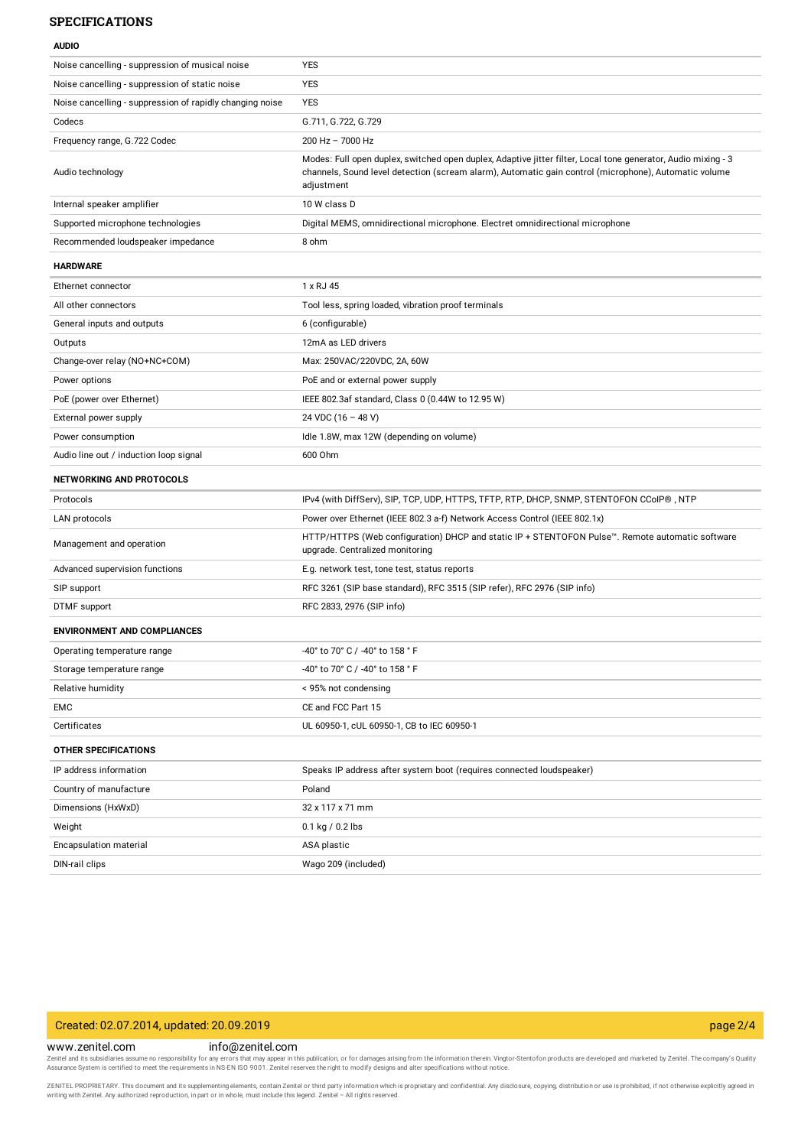## **SPECIFICATIONS**

**AUDIO**

| Noise cancelling - suppression of musical noise          | <b>YES</b>                                                                                                                                                                                                                           |
|----------------------------------------------------------|--------------------------------------------------------------------------------------------------------------------------------------------------------------------------------------------------------------------------------------|
| Noise cancelling - suppression of static noise           | <b>YES</b>                                                                                                                                                                                                                           |
| Noise cancelling - suppression of rapidly changing noise | <b>YES</b>                                                                                                                                                                                                                           |
| Codecs                                                   | G.711, G.722, G.729                                                                                                                                                                                                                  |
| Frequency range, G.722 Codec                             | 200 Hz - 7000 Hz                                                                                                                                                                                                                     |
| Audio technology                                         | Modes: Full open duplex, switched open duplex, Adaptive jitter filter, Local tone generator, Audio mixing - 3<br>channels, Sound level detection (scream alarm), Automatic gain control (microphone), Automatic volume<br>adjustment |
| Internal speaker amplifier                               | 10 W class D                                                                                                                                                                                                                         |
| Supported microphone technologies                        | Digital MEMS, omnidirectional microphone. Electret omnidirectional microphone                                                                                                                                                        |
| Recommended loudspeaker impedance                        | 8 ohm                                                                                                                                                                                                                                |
| <b>HARDWARE</b>                                          |                                                                                                                                                                                                                                      |
| Ethernet connector                                       | 1 x RJ 45                                                                                                                                                                                                                            |
| All other connectors                                     | Tool less, spring loaded, vibration proof terminals                                                                                                                                                                                  |
| General inputs and outputs                               | 6 (configurable)                                                                                                                                                                                                                     |
| Outputs                                                  | 12mA as LED drivers                                                                                                                                                                                                                  |
| Change-over relay (NO+NC+COM)                            | Max: 250VAC/220VDC, 2A, 60W                                                                                                                                                                                                          |
| Power options                                            | PoE and or external power supply                                                                                                                                                                                                     |
| PoE (power over Ethernet)                                | IEEE 802.3af standard, Class 0 (0.44W to 12.95 W)                                                                                                                                                                                    |
| External power supply                                    | 24 VDC (16 - 48 V)                                                                                                                                                                                                                   |
| Power consumption                                        | Idle 1.8W, max 12W (depending on volume)                                                                                                                                                                                             |
| Audio line out / induction loop signal                   | 600 Ohm                                                                                                                                                                                                                              |
| <b>NETWORKING AND PROTOCOLS</b>                          |                                                                                                                                                                                                                                      |
| Protocols                                                | IPv4 (with DiffServ), SIP, TCP, UDP, HTTPS, TFTP, RTP, DHCP, SNMP, STENTOFON CColP®, NTP                                                                                                                                             |
| LAN protocols                                            | Power over Ethernet (IEEE 802.3 a-f) Network Access Control (IEEE 802.1x)                                                                                                                                                            |
| Management and operation                                 | HTTP/HTTPS (Web configuration) DHCP and static IP + STENTOFON Pulse™. Remote automatic software<br>upgrade. Centralized monitoring                                                                                                   |
| Advanced supervision functions                           | E.g. network test, tone test, status reports                                                                                                                                                                                         |
| SIP support                                              | RFC 3261 (SIP base standard), RFC 3515 (SIP refer), RFC 2976 (SIP info)                                                                                                                                                              |
| DTMF support                                             | RFC 2833, 2976 (SIP info)                                                                                                                                                                                                            |
| <b>ENVIRONMENT AND COMPLIANCES</b>                       |                                                                                                                                                                                                                                      |
| Operating temperature range                              | -40° to 70° C / -40° to 158 ° F                                                                                                                                                                                                      |
| Storage temperature range                                | -40° to 70° C / -40° to 158 ° F                                                                                                                                                                                                      |
| Relative humidity                                        | < 95% not condensing                                                                                                                                                                                                                 |
| EMC                                                      | CE and FCC Part 15                                                                                                                                                                                                                   |
| Certificates                                             | UL 60950-1, cUL 60950-1, CB to IEC 60950-1                                                                                                                                                                                           |
| <b>OTHER SPECIFICATIONS</b>                              |                                                                                                                                                                                                                                      |
| IP address information                                   | Speaks IP address after system boot (requires connected loudspeaker)                                                                                                                                                                 |
| Country of manufacture                                   | Poland                                                                                                                                                                                                                               |
| Dimensions (HxWxD)                                       | 32 x 117 x 71 mm                                                                                                                                                                                                                     |
| Weight                                                   | $0.1$ kg / 0.2 lbs                                                                                                                                                                                                                   |
| Encapsulation material                                   | ASA plastic                                                                                                                                                                                                                          |
| DIN-rail clips                                           | Wago 209 (included)                                                                                                                                                                                                                  |

## Created: 02.07.2014, updated: 20.09.2019 page 2/4

www.zenitel.com info@zenitel.com

Zenitel and its subsidiaries assume no responsibility for any errors that may appear in this publication, or for damages arising from the information therein. Vingtor-Stentofon products are developed and marketed by Zenite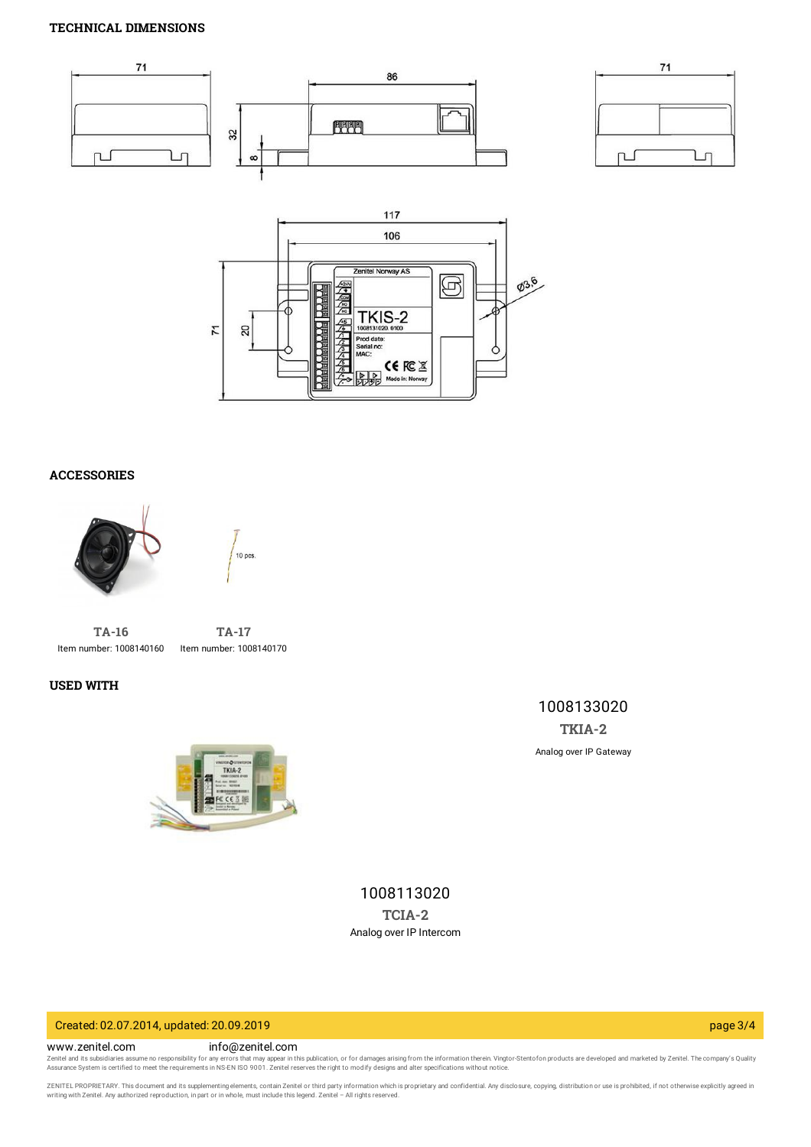## **TECHNICAL DIMENSIONS**







# **ACCESSORIES**





**[TA-16](https://www.zenitel.com/product/ta-16)** Item number: 1008140160

**[TA-17](https://www.zenitel.com/product/ta-17)** Item number: 1008140170

## **USED WITH**



1008133020 **[TKIA-2](https://www.zenitel.com/product/tkia-2)** Analog over IP Gateway

1008113020 **[TCIA-2](https://www.zenitel.com/product/tcia-2)** Analog over IP Intercom

# Created: 02.07.2014, updated: 20.09.2019 page 3/4

#### www.zenitel.com info@zenitel.com

Zenitel and its subsidiaries assume no responsibility for any errors that may appear in this publication, or for damages arising from the information therein. Vingtor-Stentofon products are developed and marketed by Zenite